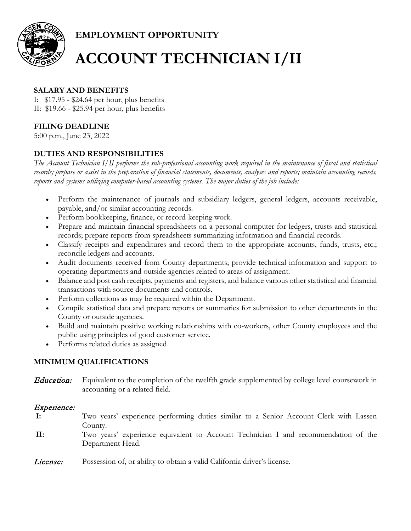

**EMPLOYMENT OPPORTUNITY**

# **ACCOUNT TECHNICIAN I/II**

#### **SALARY AND BENEFITS**

I: \$17.95 - \$24.64 per hour, plus benefits II: \$19.66 - \$25.94 per hour, plus benefits

### **FILING DEADLINE**

5:00 p.m., June 23, 2022

### **DUTIES AND RESPONSIBILITIES**

*The Account Technician I/II performs the sub-professional accounting work required in the maintenance of fiscal and statistical records; prepare or assist in the preparation of financial statements, documents, analyses and reports; maintain accounting records, reports and systems utilizing computer-based accounting systems. The major duties of the job include:*

- Perform the maintenance of journals and subsidiary ledgers, general ledgers, accounts receivable, payable, and/or similar accounting records.
- Perform bookkeeping, finance, or record-keeping work.
- Prepare and maintain financial spreadsheets on a personal computer for ledgers, trusts and statistical records; prepare reports from spreadsheets summarizing information and financial records.
- Classify receipts and expenditures and record them to the appropriate accounts, funds, trusts, etc.; reconcile ledgers and accounts.
- Audit documents received from County departments; provide technical information and support to operating departments and outside agencies related to areas of assignment.
- Balance and post cash receipts, payments and registers; and balance various other statistical and financial transactions with source documents and controls.
- Perform collections as may be required within the Department.
- Compile statistical data and prepare reports or summaries for submission to other departments in the County or outside agencies.
- Build and maintain positive working relationships with co-workers, other County employees and the public using principles of good customer service.
- Performs related duties as assigned

#### **MINIMUM QUALIFICATIONS**

**Education:** Equivalent to the completion of the twelfth grade supplemented by college level coursework in accounting or a related field.

#### Experience:

- **I:** Two years' experience performing duties similar to a Senior Account Clerk with Lassen County.
- **II:** Two years' experience equivalent to Account Technician I and recommendation of the Department Head.
- License: Possession of, or ability to obtain a valid California driver's license.